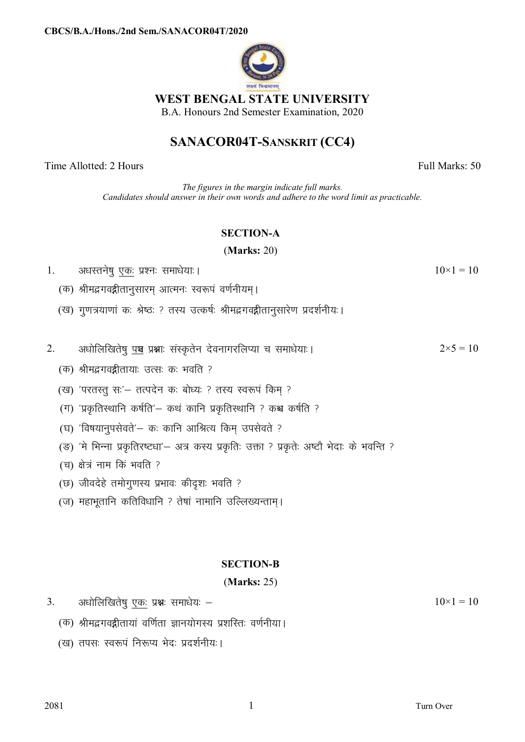

## WEST BENGAL STATE UNIVERSITY

B.A. Honours 2nd Semester Examination, 2020

# SANACOR04T-SANSKRIT (CC4)

Time Allotted: 2 Hours

Full Marks: 50

 $10\times1=10$ 

The figures in the margin indicate full marks. Candidates should answer in their own words and adhere to the word limit as practicable.

## **SECTION-A**

## $(Marks: 20)$

- अधस्तनेषु एकः प्रश्नः समाधेयाः ।  $\mathbf{1}$ 
	- (क) श्रीमद्भगवद्गीतानुसारम् आत्मनः स्वरूपं वर्णनीयम्।
	- (ख) गुणत्रयाणां कः श्रेष्ठः ? तस्य उत्कर्षः श्रीमद्भगवद्गीतानुसारेण प्रदर्शनीयः।

|                         | अधोलिखितेषु पञ्च प्रश्नाः संस्कृतेन देवनागरलिप्या च समाधेयाः। |  |  | $2 \times 5 = 10$ |
|-------------------------|---------------------------------------------------------------|--|--|-------------------|
| $\mathcal{L}_{\bullet}$ |                                                               |  |  |                   |

- (क) श्रीमद्भगवद्गीतायाः उत्सः कः भवति ?
- (ख) 'परतस्तु सः'- तत्पदेन कः बोध्यः ? तस्य स्वरूपं किम् ?
- (ग) 'प्रकृतिस्थानि कर्षति'- कथं कानि प्रकृतिस्थानि ? कश्च कर्षति ?
- (घ) 'विषयानुपसेवते'– कः कानि आश्रित्य किम उपसेवते ?
- (ङ) 'मे भिन्ना प्रकृतिरष्टधा'- अत्र कस्य प्रकृतिः उक्ता ? प्रकृतेः अष्टौ भेदाः के भवन्ति ?
- (च) क्षेत्रं नाम किं भवति ?
- (छ) जीवदेहे तमोगुणस्य प्रभावः कीदृशः भवति ?
- (ज) महाभूतानि कतिविधानि ? तेषां नामानि उल्लिख्यन्ताम्।

## **SECTION-B**

#### $(Marks: 25)$

- $3<sub>1</sub>$ अधोलिखितेषु एकः प्रश्नः समाधेयः –
	- (क) श्रीमद्भगवद्गीतायां वर्णिता ज्ञानयोगस्य प्रशस्तिः वर्णनीया।
	- (ख) तपसः स्वरूपं निरूप्य भेदः प्रदर्शनीयः।

 $10\times1=10$ 

 $\mathbf{1}$